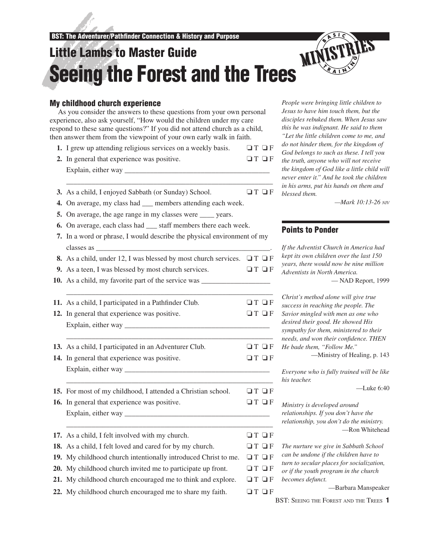# Little Lambs to Master Guide LITTIE Lambs to Master Guide<br>Seeing the Forest and the Trees

# My childhood church experience

As you consider the answers to these questions from your own personal experience, also ask yourself, "How would the children under my care respond to these same questions?" If you did not attend church as a child, then answer them from the viewpoint of your own early walk in faith.

- **1.** I grew up attending religious services on a weekly basis.  $\Box T \Box F$
- **2.** In general that experience was positive. ❏ T ❏ F Explain, either way \_\_\_\_\_\_\_\_\_\_\_\_\_\_\_\_\_\_\_\_\_\_\_\_\_\_\_\_\_\_\_\_\_\_\_\_\_\_\_\_

\_\_\_\_\_\_\_\_\_\_\_\_\_\_\_\_\_\_\_\_\_\_\_\_\_\_\_\_\_\_\_\_\_\_\_\_\_\_\_\_\_\_\_\_\_\_\_\_\_\_\_\_\_\_\_\_\_

- **3.** As a child, I enjoyed Sabbath (or Sunday) School. **□ T** □ F
- **4.** On average, my class had \_\_\_ members attending each week.
- **5.** On average, the age range in my classes were wears.
- **6.** On average, each class had \_\_\_ staff members there each week.
- **7.** In a word or phrase, I would describe the physical environment of my classes as \_\_\_\_\_\_\_\_\_\_\_\_\_\_\_\_\_\_\_\_\_\_\_\_\_\_\_\_\_\_\_\_\_\_\_\_\_\_\_\_\_\_\_\_\_\_\_\_.
- **8.** As a child, under 12, I was blessed by most church services.  $\Box T \Box F$
- **9.** As a teen, I was blessed by most church services. ❏ T ❏ F
- **10.** As a child, my favorite part of the service was
- \_\_\_\_\_\_\_\_\_\_\_\_\_\_\_\_\_\_\_\_\_\_\_\_\_\_\_\_\_\_\_\_\_\_\_\_\_\_\_\_\_\_\_\_\_\_\_\_\_\_\_\_\_\_\_\_\_ **11.** As a child, I participated in a Pathfi nder Club. ❏ T ❏ F **12.** In general that experience was positive. ❏ T ❏ F Explain, either way \_\_\_\_\_\_\_\_\_\_\_\_\_\_\_\_\_\_\_\_\_\_\_\_\_\_\_\_\_\_\_\_\_\_\_\_\_\_\_\_
- \_\_\_\_\_\_\_\_\_\_\_\_\_\_\_\_\_\_\_\_\_\_\_\_\_\_\_\_\_\_\_\_\_\_\_\_\_\_\_\_\_\_\_\_\_\_\_\_\_\_\_\_\_\_\_\_\_ **13.** As a child, I participated in an Adventurer Club.  $\Box T \Box F$
- **14.** In general that experience was positive. ❏ T ❏ F Explain, either way \_\_\_\_\_\_\_\_\_\_\_\_\_\_\_\_\_\_\_\_\_\_\_\_\_\_\_\_\_\_\_\_\_\_\_\_\_\_\_\_ \_\_\_\_\_\_\_\_\_\_\_\_\_\_\_\_\_\_\_\_\_\_\_\_\_\_\_\_\_\_\_\_\_\_\_\_\_\_\_\_\_\_\_\_\_\_\_\_\_\_\_\_\_\_\_\_\_
- **15.** For most of my childhood, I attended a Christian school. □ □ □ F

\_\_\_\_\_\_\_\_\_\_\_\_\_\_\_\_\_\_\_\_\_\_\_\_\_\_\_\_\_\_\_\_\_\_\_\_\_\_\_\_\_\_\_\_\_\_\_\_\_\_\_\_\_\_\_\_\_

- **16.** In general that experience was positive. ❏ T ❏ F Explain, either way \_\_\_\_\_\_\_\_\_\_\_\_\_\_\_\_\_\_\_\_\_\_\_\_\_\_\_\_\_\_\_\_\_\_\_\_\_\_\_\_
- **17.** As a child, I felt involved with my church. ❏ T ❏ F **18.** As a child, I felt loved and cared for by my church.  $\Box T \Box F$ **19.** My childhood church intentionally introduced Christ to me.  $\Box T \Box F$ **20.** My childhood church invited me to participate up front.  $\Box T \Box F$ **21.** My childhood church encouraged me to think and explore.  $\Box T \Box F$
- **22.** My childhood church encouraged me to share my faith.  $\Box T \Box F$

*People were bringing little children to Jesus to have him touch them, but the disciples rebuked them. When Jesus saw this he was indignant. He said to them "Let the little children come to me, and do not hinder them, for the kingdom of God belongs to such as these. I tell you the truth, anyone who will not receive the kingdom of God like a little child will never enter it." And he took the children in his arms, put his hands on them and blessed them.*

*—Mark 10:13-26 NIV*

# Points to Ponder

*If the Adventist Church in America had kept its own children over the last 150 years, there would now be nine million Adventists in North America.* — NAD Report, 1999

*Christ's method alone will give true success in reaching the people. The Savior mingled with men as one who desired their good. He showed His sympathy for them, ministered to their needs, and won their confidence. THEN He bade them, "Follow Me."* —Ministry of Healing, p. 143

*Everyone who is fully trained will be like his teacher.*

—Luke 6:40

*Ministry is developed around relationships. If you don't have the relationship, you don't do the ministry.* —Ron Whitehead

*The nurture we give in Sabbath School can be undone if the children have to turn to secular places for socialization, or if the youth program in the church becomes defunct.*

—Barbara Manspeaker

BST: SEEING THE FOREST AND THE TREES 1

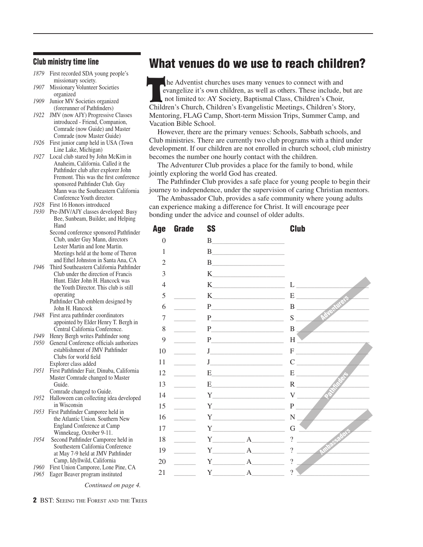#### Club ministry time line

- *1879* First recorded SDA young people's missionary society.
- *1907* Missionary Volunteer Societies organized
- *1909* Junior MV Societies organized (forerunner of Pathfinders)
- *1922* JMV (now AJY) Progressive Classes introduced - Friend, Companion, Comrade (now Guide) and Master Comrade (now Master Guide)
- *1926* First junior camp held in USA (Town Line Lake, Michigan)
- *1927* Local club stared by John McKim in Anaheim, California. Called it the Pathfinder club after explorer John Fremont. This was the first conference sponsored Pathfinder Club. Guy Mann was the Southeastern California Conference Youth director.
- *1928* First 16 Honors introduced
- *1930* Pre-JMV/AJY classes developed: Busy Bee, Sunbeam, Builder, and Helping Hand
	- Second conference sponsored Pathfinder Club, under Guy Mann, directors Lester Martin and Ione Martin. Meetings held at the home of Theron and Ethel Johnston in Santa Ana, CA
- *1946* Third Southeastern California Pathfinder Club under the direction of Francis Hunt. Elder John H. Hancock was the Youth Director. This club is still operating Pathfinder Club emblem designed by
	- John H. Hancock
- *1948* First area pathfinder coordinators appointed by Elder Henry T. Bergh in Central California Conference.
- *1949* Henry Bergh writes Pathfinder song
- *1950* General Conference officials authorizes establishment of JMV Pathfinder Clubs for world field Explorer class added
- *1951* First Pathfinder Fair, Dinuba, California Master Comrade changed to Master Guide.
- Comrade changed to Guide. *1952* Halloween can collecting idea developed in Wisconsin
- *1953* First Pathfinder Camporee held in the Atlantic Union. Southern New England Conference at Camp Winnekeag, October 9-11.
- *1954* Second Pathfinder Camporee held in Southestern California Conference at May 7-9 held at JMV Pathfinder Camp, Idyllwild, California
- *1960* First Union Camporee, Lone Pine, CA
- *1965* Eager Beaver program instituted

*Continued on page 4.*

2 BST: SEEING THE FOREST AND THE TREES

# What venues do we use to reach children?

 he Adventist churches uses many venues to connect with and evangelize it's own children, as well as others. These include, but are not limited to: AY Society, Baptismal Class, Children's Choir, Children's Church, Children's Evangelistic Meetings, Children's Story, Mentoring, FLAG Camp, Short-term Mission Trips, Summer Camp, and Vacation Bible School. Te

However, there are the primary venues: Schools, Sabbath schools, and Club ministries. There are currently two club programs with a third under development. If our children are not enrolled in church school, club ministry becomes the number one hourly contact with the children.

The Adventurer Club provides a place for the family to bond, while jointly exploring the world God has created.

The Pathfinder Club provides a safe place for young people to begin their journey to independence, under the supervision of caring Christian mentors.

The Ambassador Club, provides a safe community where young adults can experience making a difference for Christ. It will encourage peer bonding under the advice and counsel of older adults.

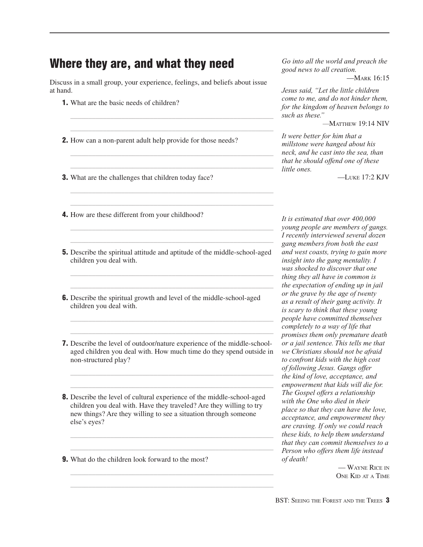# Where they are, and what they need

Discuss in a small group, your experience, feelings, and beliefs about issue at hand.

 $\mathcal{L}_\text{max}$  and  $\mathcal{L}_\text{max}$  and  $\mathcal{L}_\text{max}$  and  $\mathcal{L}_\text{max}$  and  $\mathcal{L}_\text{max}$  and  $\mathcal{L}_\text{max}$  $\mathcal{L}_\text{max}$  and  $\mathcal{L}_\text{max}$  and  $\mathcal{L}_\text{max}$  and  $\mathcal{L}_\text{max}$  and  $\mathcal{L}_\text{max}$  and  $\mathcal{L}_\text{max}$ 

 $\mathcal{L}_\text{max}$  and  $\mathcal{L}_\text{max}$  and  $\mathcal{L}_\text{max}$  and  $\mathcal{L}_\text{max}$  and  $\mathcal{L}_\text{max}$  and  $\mathcal{L}_\text{max}$  $\mathcal{L}_\text{max}$  and  $\mathcal{L}_\text{max}$  and  $\mathcal{L}_\text{max}$  and  $\mathcal{L}_\text{max}$  and  $\mathcal{L}_\text{max}$  and  $\mathcal{L}_\text{max}$ 

 $\mathcal{L}_\text{max}$  and  $\mathcal{L}_\text{max}$  and  $\mathcal{L}_\text{max}$  and  $\mathcal{L}_\text{max}$  and  $\mathcal{L}_\text{max}$  and  $\mathcal{L}_\text{max}$  $\mathcal{L}_\text{max}$  and  $\mathcal{L}_\text{max}$  and  $\mathcal{L}_\text{max}$  and  $\mathcal{L}_\text{max}$  and  $\mathcal{L}_\text{max}$  and  $\mathcal{L}_\text{max}$ 

 $\mathcal{L}_\text{max}$  and  $\mathcal{L}_\text{max}$  and  $\mathcal{L}_\text{max}$  and  $\mathcal{L}_\text{max}$  and  $\mathcal{L}_\text{max}$  and  $\mathcal{L}_\text{max}$  $\mathcal{L}_\text{max}$  and  $\mathcal{L}_\text{max}$  and  $\mathcal{L}_\text{max}$  and  $\mathcal{L}_\text{max}$  and  $\mathcal{L}_\text{max}$  and  $\mathcal{L}_\text{max}$ 

- 1. What are the basic needs of children?
- **2.** How can a non-parent adult help provide for those needs?
- **3.** What are the challenges that children today face?

*Go into all the world and preach the good news to all creation.* 

—MARK 16:15

*Jesus said, "Let the little children come to me, and do not hinder them, for the kingdom of heaven belongs to such as these."*

*—*MATTHEW 19:14 NIV

*It were better for him that a millstone were hanged about his neck, and he cast into the sea, than that he should offend one of these little ones.*

—LUKE 17:2 KJV

- 4. How are these different from your childhood?
- 5. Describe the spiritual attitude and aptitude of the middle-school-aged children you deal with.
- 6. Describe the spiritual growth and level of the middle-school-aged children you deal with.

 $\mathcal{L}_\text{max}$  , and the contract of the contract of the contract of the contract of the contract of the contract of the contract of the contract of the contract of the contract of the contract of the contract of the contr  $\mathcal{L}_\text{max}$  and  $\mathcal{L}_\text{max}$  and  $\mathcal{L}_\text{max}$  and  $\mathcal{L}_\text{max}$  and  $\mathcal{L}_\text{max}$  and  $\mathcal{L}_\text{max}$ 

 $\mathcal{L}_\text{max}$  , and the contract of the contract of the contract of the contract of the contract of the contract of the contract of the contract of the contract of the contract of the contract of the contract of the contr  $\mathcal{L}_\text{max}$  and  $\mathcal{L}_\text{max}$  and  $\mathcal{L}_\text{max}$  and  $\mathcal{L}_\text{max}$  and  $\mathcal{L}_\text{max}$  and  $\mathcal{L}_\text{max}$ 

7. Describe the level of outdoor/nature experience of the middle-schoolaged children you deal with. How much time do they spend outside in non-structured play?

 $\mathcal{L}_\text{max}$  , and the contract of the contract of the contract of the contract of the contract of the contract of the contract of the contract of the contract of the contract of the contract of the contract of the contr  $\mathcal{L}_\text{max}$  and  $\mathcal{L}_\text{max}$  and  $\mathcal{L}_\text{max}$  and  $\mathcal{L}_\text{max}$  and  $\mathcal{L}_\text{max}$  and  $\mathcal{L}_\text{max}$ 

8. Describe the level of cultural experience of the middle-school-aged children you deal with. Have they traveled? Are they willing to try new things? Are they willing to see a situation through someone else's eyes?

 $\mathcal{L}_\text{max}$  , and the contract of the contract of the contract of the contract of the contract of the contract of the contract of the contract of the contract of the contract of the contract of the contract of the contr  $\mathcal{L}_\text{max}$  and  $\mathcal{L}_\text{max}$  and  $\mathcal{L}_\text{max}$  and  $\mathcal{L}_\text{max}$  and  $\mathcal{L}_\text{max}$  and  $\mathcal{L}_\text{max}$ 

 $\mathcal{L}_\text{max}$  and  $\mathcal{L}_\text{max}$  and  $\mathcal{L}_\text{max}$  and  $\mathcal{L}_\text{max}$  and  $\mathcal{L}_\text{max}$  and  $\mathcal{L}_\text{max}$  $\mathcal{L}_\text{max}$  and  $\mathcal{L}_\text{max}$  and  $\mathcal{L}_\text{max}$  and  $\mathcal{L}_\text{max}$  and  $\mathcal{L}_\text{max}$  and  $\mathcal{L}_\text{max}$ 

**9.** What do the children look forward to the most?

*It is estimated that over 400,000 young people are members of gangs. I recently interviewed several dozen gang members from both the east and west coasts, trying to gain more insight into the gang mentality. I was shocked to discover that one thing they all have in common is the expectation of ending up in jail or the grave by the age of twenty as a result of their gang activity. It is scary to think that these young people have committed themselves completely to a way of life that promises them only premature death or a jail sentence. This tells me that we Christians should not be afraid to confront kids with the high cost of following Jesus. Gangs offer the kind of love, acceptance, and empowerment that kids will die for. The Gospel offers a relationship with the One who died in their place so that they can have the love, acceptance, and empowerment they are craving. If only we could reach these kids, to help them understand that they can commit themselves to a Person who offers them life instead of death!*

> — WAYNE RICE IN ONE KID AT A TIME